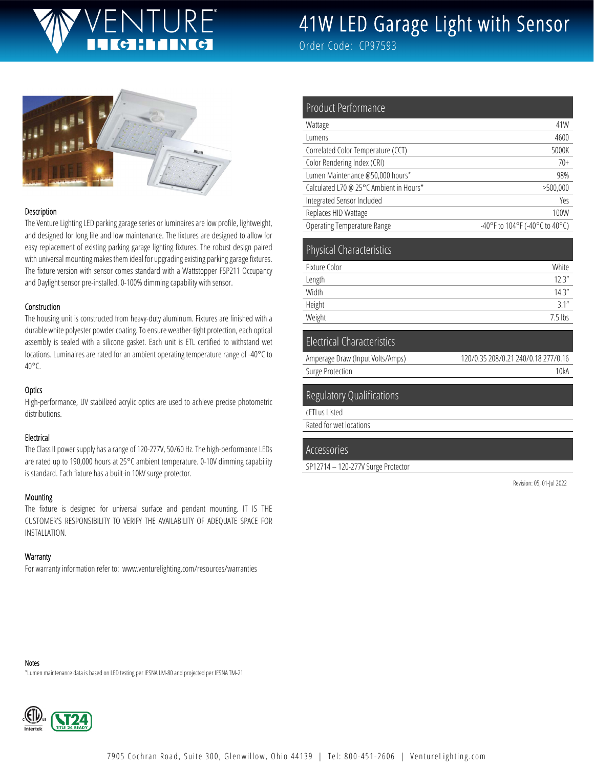# JRF<sup>®</sup>

# 41W LED Garage Light with Sensor

Order Code: CP97593



#### Description

The Venture Lighting LED parking garage series or luminaires are low profile, lightweight, and designed for long life and low maintenance. The fixtures are designed to allow for easy replacement of existing parking garage lighting fixtures. The robust design paired with universal mounting makes them ideal for upgrading existing parking garage fixtures. The fixture version with sensor comes standard with a Wattstopper FSP211 Occupancy and Daylight sensor pre-installed. 0-100% dimming capability with sensor.

#### Construction

The housing unit is constructed from heavy-duty aluminum. Fixtures are finished with a durable white polyester powder coating. To ensure weather-tight protection, each optical assembly is sealed with a silicone gasket. Each unit is ETL certified to withstand wet locations. Luminaires are rated for an ambient operating temperature range of -40°C to 40°C.

#### **Optics**

High-performance, UV stabilized acrylic optics are used to achieve precise photometric distributions.

#### Electrical

The Class II power supply has a range of 120-277V, 50/60 Hz. The high-performance LEDs are rated up to 190,000 hours at 25°C ambient temperature. 0-10V dimming capability is standard. Each fixture has a built-in 10kV surge protector.

#### Mounting

The fixture is designed for universal surface and pendant mounting. IT IS THE CUSTOMER'S RESPONSIBILITY TO VERIFY THE AVAILABILITY OF ADEQUATE SPACE FOR INSTALLATION.

#### **Warranty**

For warranty information refer to: www.venturelighting.com/resources/warranties

| Product Performance                     |                                |
|-----------------------------------------|--------------------------------|
| Wattage                                 | 41W                            |
| Lumens                                  | 4600                           |
| Correlated Color Temperature (CCT)      | 5000K                          |
| Color Rendering Index (CRI)             | $70+$                          |
| Lumen Maintenance @50,000 hours*        | 98%                            |
| Calculated L70 @ 25°C Ambient in Hours* | >500,000                       |
| Integrated Sensor Included              | Yes                            |
| Replaces HID Wattage                    | 100W                           |
| <b>Operating Temperature Range</b>      | -40°F to 104°F (-40°C to 40°C) |
| <b>Physical Characteristics</b>         |                                |
| Fixture Color                           | White                          |
| Length                                  | 12.3''                         |
| Width                                   | 14.3''                         |
| Height                                  | 3.1''                          |
| Weight                                  | $7.5$ lbs                      |
| <b>Electrical Characteristics</b>       |                                |

|                                  | 120/0.35 208/0.21 240/0.18 277/0.16 |
|----------------------------------|-------------------------------------|
| Amperage Draw (Input Volts/Amps) |                                     |
| Surge Protection                 | 10kA                                |
|                                  |                                     |

#### Regulatory Qualifications

cETLus Listed

Rated for wet locations

#### Accessories

SP12714 – 120-277V Surge Protector

Revision: 05, 01-Jul 2022

Notes

\*Lumen maintenance data is based on LED testing per IESNA LM-80 and projected per IESNA TM-21